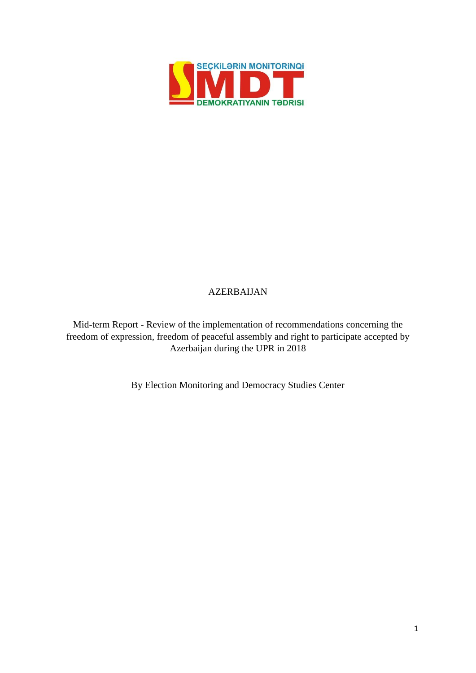

# AZERBAIJAN

Mid-term Report - Review of the implementation of recommendations concerning the freedom of expression, freedom of peaceful assembly and right to participate accepted by Azerbaijan during the UPR in 2018

By Election Monitoring and Democracy Studies Center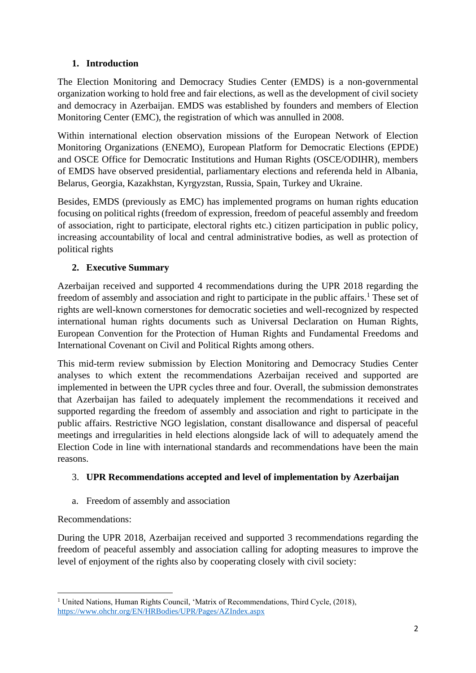## **1. Introduction**

The Election Monitoring and Democracy Studies Center (EMDS) is a non-governmental organization working to hold free and fair elections, as well as the development of civil society and democracy in Azerbaijan. EMDS was established by founders and members of Election Monitoring Center (EMC), the registration of which was annulled in 2008.

Within international election observation missions of the European Network of Election Monitoring Organizations (ENEMO), European Platform for Democratic Elections (EPDE) and OSCE Office for Democratic Institutions and Human Rights (OSCE/ODIHR), members of EMDS have observed presidential, parliamentary elections and referenda held in Albania, Belarus, Georgia, Kazakhstan, Kyrgyzstan, Russia, Spain, Turkey and Ukraine.

Besides, EMDS (previously as EMC) has implemented programs on human rights education focusing on political rights (freedom of expression, freedom of peaceful assembly and freedom of association, right to participate, electoral rights etc.) citizen participation in public policy, increasing accountability of local and central administrative bodies, as well as protection of political rights

# **2. Executive Summary**

Azerbaijan received and supported 4 recommendations during the UPR 2018 regarding the freedom of assembly and association and right to participate in the public affairs.<sup>1</sup> These set of rights are well-known cornerstones for democratic societies and well-recognized by respected international human rights documents such as Universal Declaration on Human Rights, European Convention for the Protection of Human Rights and Fundamental Freedoms and International Covenant on Civil and Political Rights among others.

This mid-term review submission by Election Monitoring and Democracy Studies Center analyses to which extent the recommendations Azerbaijan received and supported are implemented in between the UPR cycles three and four. Overall, the submission demonstrates that Azerbaijan has failed to adequately implement the recommendations it received and supported regarding the freedom of assembly and association and right to participate in the public affairs. Restrictive NGO legislation, constant disallowance and dispersal of peaceful meetings and irregularities in held elections alongside lack of will to adequately amend the Election Code in line with international standards and recommendations have been the main reasons.

## 3. **UPR Recommendations accepted and level of implementation by Azerbaijan**

a. Freedom of assembly and association

## Recommendations:

During the UPR 2018, Azerbaijan received and supported 3 recommendations regarding the freedom of peaceful assembly and association calling for adopting measures to improve the level of enjoyment of the rights also by cooperating closely with civil society:

<sup>&</sup>lt;sup>1</sup> United Nations, Human Rights Council, 'Matrix of Recommendations, Third Cycle, (2018), <https://www.ohchr.org/EN/HRBodies/UPR/Pages/AZIndex.aspx>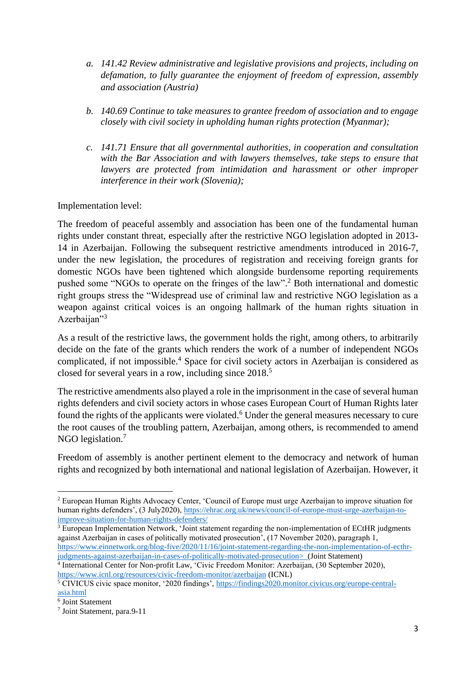- *a. 141.42 Review administrative and legislative provisions and projects, including on defamation, to fully guarantee the enjoyment of freedom of expression, assembly and association (Austria)*
- *b. 140.69 Continue to take measures to grantee freedom of association and to engage closely with civil society in upholding human rights protection (Myanmar);*
- *c. 141.71 Ensure that all governmental authorities, in cooperation and consultation with the Bar Association and with lawyers themselves, take steps to ensure that lawyers are protected from intimidation and harassment or other improper interference in their work (Slovenia);*

### Implementation level:

The freedom of peaceful assembly and association has been one of the fundamental human rights under constant threat, especially after the restrictive NGO legislation adopted in 2013- 14 in Azerbaijan. Following the subsequent restrictive amendments introduced in 2016-7, under the new legislation, the procedures of registration and receiving foreign grants for domestic NGOs have been tightened which alongside burdensome reporting requirements pushed some "NGOs to operate on the fringes of the law". <sup>2</sup> Both international and domestic right groups stress the "Widespread use of criminal law and restrictive NGO legislation as a weapon against critical voices is an ongoing hallmark of the human rights situation in Azerbaijan"<sup>3</sup>

As a result of the restrictive laws, the government holds the right, among others, to arbitrarily decide on the fate of the grants which renders the work of a number of independent NGOs complicated, if not impossible.<sup>4</sup> Space for civil society actors in Azerbaijan is considered as closed for several years in a row, including since 2018.<sup>5</sup>

The restrictive amendments also played a role in the imprisonment in the case of several human rights defenders and civil society actors in whose cases European Court of Human Rights later found the rights of the applicants were violated.<sup>6</sup> Under the general measures necessary to cure the root causes of the troubling pattern, Azerbaijan, among others, is recommended to amend NGO legislation.<sup>7</sup>

Freedom of assembly is another pertinent element to the democracy and network of human rights and recognized by both international and national legislation of Azerbaijan. However, it

<sup>3</sup> European Implementation Network, 'Joint statement regarding the non-implementation of ECtHR judgments against Azerbaijan in cases of politically motivated prosecution', (17 November 2020), paragraph 1, [https://www.einnetwork.org/blog-five/2020/11/16/joint-statement-regarding-the-non-implementation-of-ecthr](https://www.einnetwork.org/blog-five/2020/11/16/joint-statement-regarding-the-non-implementation-of-ecthr-judgments-against-azerbaijan-in-cases-of-politically-motivated-prosecution)[judgments-against-azerbaijan-in-cases-of-politically-motivated-prosecution>](https://www.einnetwork.org/blog-five/2020/11/16/joint-statement-regarding-the-non-implementation-of-ecthr-judgments-against-azerbaijan-in-cases-of-politically-motivated-prosecution) (Joint Statement)

<sup>2</sup> European Human Rights Advocacy Center, 'Council of Europe must urge Azerbaijan to improve situation for human rights defenders', (3 July2020), [https://ehrac.org.uk/news/council-of-europe-must-urge-azerbaijan-to](https://ehrac.org.uk/news/council-of-europe-must-urge-azerbaijan-to-improve-situation-for-human-rights-defenders/)[improve-situation-for-human-rights-defenders/](https://ehrac.org.uk/news/council-of-europe-must-urge-azerbaijan-to-improve-situation-for-human-rights-defenders/)

<sup>4</sup> International Center for Non-profit Law, 'Civic Freedom Monitor: Azerbaijan, (30 September 2020), <https://www.icnl.org/resources/civic-freedom-monitor/azerbaijan> (ICNL)

<sup>&</sup>lt;sup>5</sup> CIVICUS civic space monitor, '2020 findings', [https://findings2020.monitor.civicus.org/europe-central](https://findings2020.monitor.civicus.org/europe-central-asia.html)[asia.html](https://findings2020.monitor.civicus.org/europe-central-asia.html)

<sup>6</sup> Joint Statement

<sup>7</sup> Joint Statement, para.9-11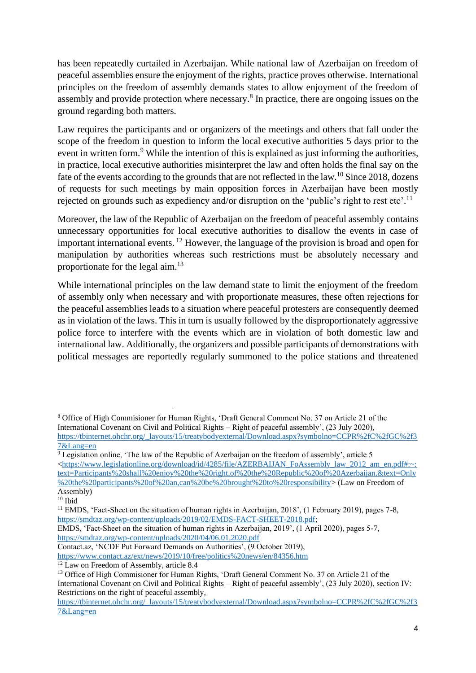has been repeatedly curtailed in Azerbaijan. While national law of Azerbaijan on freedom of peaceful assemblies ensure the enjoyment of the rights, practice proves otherwise. International principles on the freedom of assembly demands states to allow enjoyment of the freedom of assembly and provide protection where necessary.<sup>8</sup> In practice, there are ongoing issues on the ground regarding both matters.

Law requires the participants and or organizers of the meetings and others that fall under the scope of the freedom in question to inform the local executive authorities 5 days prior to the event in written form.<sup>9</sup> While the intention of this is explained as just informing the authorities, in practice, local executive authorities misinterpret the law and often holds the final say on the fate of the events according to the grounds that are not reflected in the law.<sup>10</sup> Since 2018, dozens of requests for such meetings by main opposition forces in Azerbaijan have been mostly rejected on grounds such as expediency and/or disruption on the 'public's right to rest etc'.<sup>11</sup>

Moreover, the law of the Republic of Azerbaijan on the freedom of peaceful assembly contains unnecessary opportunities for local executive authorities to disallow the events in case of important international events. <sup>12</sup> However, the language of the provision is broad and open for manipulation by authorities whereas such restrictions must be absolutely necessary and proportionate for the legal aim.<sup>13</sup>

While international principles on the law demand state to limit the enjoyment of the freedom of assembly only when necessary and with proportionate measures, these often rejections for the peaceful assemblies leads to a situation where peaceful protesters are consequently deemed as in violation of the laws. This in turn is usually followed by the disproportionately aggressive police force to interfere with the events which are in violation of both domestic law and international law. Additionally, the organizers and possible participants of demonstrations with political messages are reportedly regularly summoned to the police stations and threatened

<sup>8</sup> Office of High Commisioner for Human Rights, 'Draft General Comment No. 37 on Article 21 of the International Covenant on Civil and Political Rights – Right of peaceful assembly', (23 July 2020), [https://tbinternet.ohchr.org/\\_layouts/15/treatybodyexternal/Download.aspx?symbolno=CCPR%2fC%2fGC%2f3](https://tbinternet.ohchr.org/_layouts/15/treatybodyexternal/Download.aspx?symbolno=CCPR%2fC%2fGC%2f37&Lang=en) [7&Lang=en](https://tbinternet.ohchr.org/_layouts/15/treatybodyexternal/Download.aspx?symbolno=CCPR%2fC%2fGC%2f37&Lang=en)

 $\frac{9}{9}$  Legislation online, 'The law of the Republic of Azerbaijan on the freedom of assembly', article 5 [<https://www.legislationline.org/download/id/4285/file/AZERBAIJAN\\_FoAssembly\\_law\\_2012\\_am\\_en.pdf#:~:](https://www.legislationline.org/download/id/4285/file/AZERBAIJAN_FoAssembly_law_2012_am_en.pdf#:~:text=Participants%20shall%20enjoy%20the%20right,of%20the%20Republic%20of%20Azerbaijan.&text=Only%20the%20participants%20of%20an,can%20be%20brought%20to%20responsibility) [text=Participants%20shall%20enjoy%20the%20right,of%20the%20Republic%20of%20Azerbaijan.&text=Only](https://www.legislationline.org/download/id/4285/file/AZERBAIJAN_FoAssembly_law_2012_am_en.pdf#:~:text=Participants%20shall%20enjoy%20the%20right,of%20the%20Republic%20of%20Azerbaijan.&text=Only%20the%20participants%20of%20an,can%20be%20brought%20to%20responsibility) [%20the%20participants%20of%20an,can%20be%20brought%20to%20responsibility>](https://www.legislationline.org/download/id/4285/file/AZERBAIJAN_FoAssembly_law_2012_am_en.pdf#:~:text=Participants%20shall%20enjoy%20the%20right,of%20the%20Republic%20of%20Azerbaijan.&text=Only%20the%20participants%20of%20an,can%20be%20brought%20to%20responsibility) (Law on Freedom of Assembly)

 $10$  Ibid

<sup>&</sup>lt;sup>11</sup> EMDS, 'Fact-Sheet on the situation of human rights in Azerbaijan, 2018', (1 February 2019), pages 7-8, [https://smdtaz.org/wp-content/uploads/2019/02/EMDS-FACT-SHEET-2018.pdf;](https://smdtaz.org/wp-content/uploads/2019/02/EMDS-FACT-SHEET-2018.pdf)

EMDS, 'Fact-Sheet on the situation of human rights in Azerbaijan, 2019', (1 April 2020), pages 5-7, <https://smdtaz.org/wp-content/uploads/2020/04/06.01.2020.pdf>

Contact.az, 'NCDF Put Forward Demands on Authorities', (9 October 2019), <https://www.contact.az/ext/news/2019/10/free/politics%20news/en/84356.htm>

 $12$  Law on Freedom of Assembly, article 8.4

<sup>&</sup>lt;sup>13</sup> Office of High Commisioner for Human Rights, 'Draft General Comment No. 37 on Article 21 of the International Covenant on Civil and Political Rights – Right of peaceful assembly', (23 July 2020), section IV: Restrictions on the right of peaceful assembly,

[https://tbinternet.ohchr.org/\\_layouts/15/treatybodyexternal/Download.aspx?symbolno=CCPR%2fC%2fGC%2f3](https://tbinternet.ohchr.org/_layouts/15/treatybodyexternal/Download.aspx?symbolno=CCPR%2fC%2fGC%2f37&Lang=en) [7&Lang=en](https://tbinternet.ohchr.org/_layouts/15/treatybodyexternal/Download.aspx?symbolno=CCPR%2fC%2fGC%2f37&Lang=en)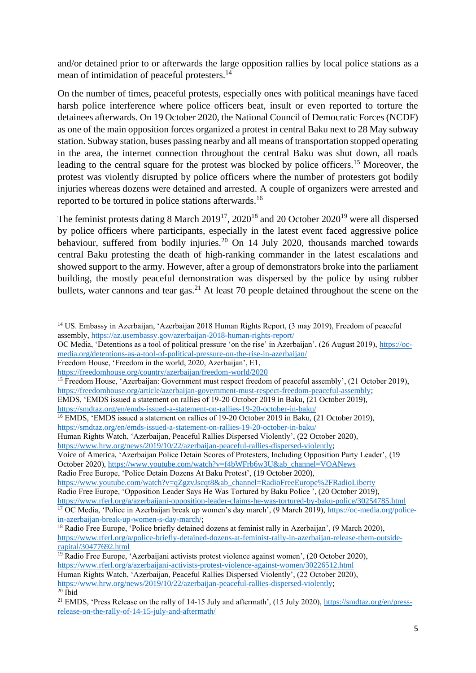and/or detained prior to or afterwards the large opposition rallies by local police stations as a mean of intimidation of peaceful protesters.<sup>14</sup>

On the number of times, peaceful protests, especially ones with political meanings have faced harsh police interference where police officers beat, insult or even reported to torture the detainees afterwards. On 19 October 2020, the National Council of Democratic Forces (NCDF) as one of the main opposition forces organized a protest in central Baku next to 28 May subway station. Subway station, buses passing nearby and all means of transportation stopped operating in the area, the internet connection throughout the central Baku was shut down, all roads leading to the central square for the protest was blocked by police officers.<sup>15</sup> Moreover, the protest was violently disrupted by police officers where the number of protesters got bodily injuries whereas dozens were detained and arrested. A couple of organizers were arrested and reported to be tortured in police stations afterwards.<sup>16</sup>

The feminist protests dating 8 March 2019<sup>17</sup>, 2020<sup>18</sup> and 20 October 2020<sup>19</sup> were all dispersed by police officers where participants, especially in the latest event faced aggressive police behaviour, suffered from bodily injuries.<sup>20</sup> On 14 July 2020, thousands marched towards central Baku protesting the death of high-ranking commander in the latest escalations and showed support to the army. However, after a group of demonstrators broke into the parliament building, the mostly peaceful demonstration was dispersed by the police by using rubber bullets, water cannons and tear gas.<sup>21</sup> At least 70 people detained throughout the scene on the

OC Media, 'Detentions as a tool of political pressure 'on the rise' in Azerbaijan', (26 August 2019), [https://oc](https://oc-media.org/detentions-as-a-tool-of-political-pressure-on-the-rise-in-azerbaijan/)[media.org/detentions-as-a-tool-of-political-pressure-on-the-rise-in-azerbaijan/](https://oc-media.org/detentions-as-a-tool-of-political-pressure-on-the-rise-in-azerbaijan/)

<sup>15</sup> Freedom House, 'Azerbaijan: Government must respect freedom of peaceful assembly', (21 October 2019), [https://freedomhouse.org/article/azerbaijan-government-must-respect-freedom-peaceful-assembly;](https://freedomhouse.org/article/azerbaijan-government-must-respect-freedom-peaceful-assembly)

<https://smdtaz.org/en/emds-issued-a-statement-on-rallies-19-20-october-in-baku/>

<https://smdtaz.org/en/emds-issued-a-statement-on-rallies-19-20-october-in-baku/>

Human Rights Watch, 'Azerbaijan, Peaceful Rallies Dispersed Violently', (22 October 2020),

[https://www.hrw.org/news/2019/10/22/azerbaijan-peaceful-rallies-dispersed-violently;](https://www.hrw.org/news/2019/10/22/azerbaijan-peaceful-rallies-dispersed-violently)

Voice of America, 'Azerbaijan Police Detain Scores of Protesters, Including Opposition Party Leader', (19 October 2020), [https://www.youtube.com/watch?v=f4bWFrb6w3U&ab\\_channel=VOANews](https://www.youtube.com/watch?v=f4bWFrb6w3U&ab_channel=VOANews)

Radio Free Europe, 'Police Detain Dozens At Baku Protest', (19 October 2020),

[https://www.youtube.com/watch?v=qZgzvJscqt8&ab\\_channel=RadioFreeEurope%2FRadioLiberty](https://www.youtube.com/watch?v=qZgzvJscqt8&ab_channel=RadioFreeEurope%2FRadioLiberty)

Radio Free Europe, 'Opposition Leader Says He Was Tortured by Baku Police ', (20 October 2019),

<sup>14</sup> US. Embassy in Azerbaijan, 'Azerbaijan 2018 Human Rights Report, (3 may 2019), Freedom of peaceful assembly,<https://az.usembassy.gov/azerbaijan-2018-human-rights-report/>

Freedom House, 'Freedom in the world, 2020, Azerbaijan', E1,

<https://freedomhouse.org/country/azerbaijan/freedom-world/2020>

EMDS, 'EMDS issued a statement on rallies of 19-20 October 2019 in Baku, (21 October 2019),

<sup>&</sup>lt;sup>16</sup> EMDS, 'EMDS issued a statement on rallies of 19-20 October 2019 in Baku, (21 October 2019),

<https://www.rferl.org/a/azerbaijani-opposition-leader-claims-he-was-tortured-by-baku-police/30254785.html>

<sup>&</sup>lt;sup>17</sup> OC Media, 'Police in Azerbaijan break up women's day march', (9 March 2019), [https://oc-media.org/police](https://oc-media.org/police-in-azerbaijan-break-up-women-s-day-march/)[in-azerbaijan-break-up-women-s-day-march/;](https://oc-media.org/police-in-azerbaijan-break-up-women-s-day-march/)

<sup>&</sup>lt;sup>18</sup> Radio Free Europe, 'Police briefly detained dozens at feminist rally in Azerbaijan', (9 March 2020), [https://www.rferl.org/a/police-briefly-detained-dozens-at-feminist-rally-in-azerbaijan-release-them-outside](https://www.rferl.org/a/police-briefly-detained-dozens-at-feminist-rally-in-azerbaijan-release-them-outside-capital/30477692.html)[capital/30477692.html](https://www.rferl.org/a/police-briefly-detained-dozens-at-feminist-rally-in-azerbaijan-release-them-outside-capital/30477692.html)

<sup>19</sup> Radio Free Europe, 'Azerbaijani activists protest violence against women', (20 October 2020), <https://www.rferl.org/a/azerbaijani-activists-protest-violence-against-women/30226512.html> Human Rights Watch, 'Azerbaijan, Peaceful Rallies Dispersed Violently', (22 October 2020), [https://www.hrw.org/news/2019/10/22/azerbaijan-peaceful-rallies-dispersed-violently;](https://www.hrw.org/news/2019/10/22/azerbaijan-peaceful-rallies-dispersed-violently)

 $20$  Ibid

<sup>&</sup>lt;sup>21</sup> EMDS, 'Press Release on the rally of 14-15 July and aftermath', (15 July 2020), [https://smdtaz.org/en/press](https://smdtaz.org/en/press-release-on-the-rally-of-14-15-july-and-aftermath/)[release-on-the-rally-of-14-15-july-and-aftermath/](https://smdtaz.org/en/press-release-on-the-rally-of-14-15-july-and-aftermath/)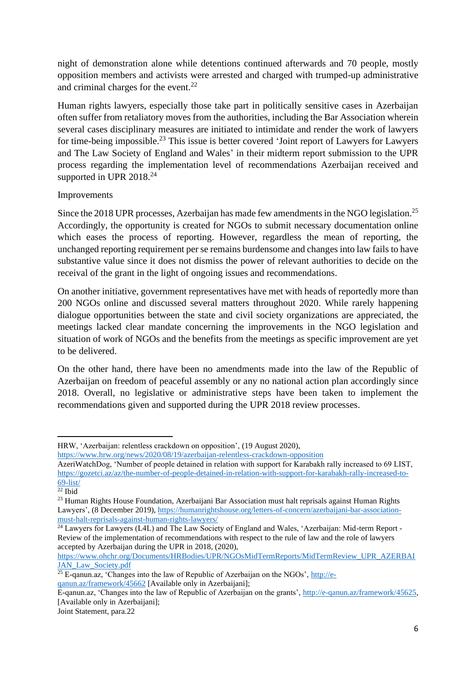night of demonstration alone while detentions continued afterwards and 70 people, mostly opposition members and activists were arrested and charged with trumped-up administrative and criminal charges for the event. $^{22}$ 

Human rights lawyers, especially those take part in politically sensitive cases in Azerbaijan often suffer from retaliatory moves from the authorities, including the Bar Association wherein several cases disciplinary measures are initiated to intimidate and render the work of lawyers for time-being impossible.<sup>23</sup> This issue is better covered 'Joint report of Lawyers for Lawyers and The Law Society of England and Wales' in their midterm report submission to the UPR process regarding the implementation level of recommendations Azerbaijan received and supported in UPR  $2018.<sup>24</sup>$ 

### Improvements

Since the 2018 UPR processes, Azerbaijan has made few amendments in the NGO legislation.<sup>25</sup> Accordingly, the opportunity is created for NGOs to submit necessary documentation online which eases the process of reporting. However, regardless the mean of reporting, the unchanged reporting requirement per se remains burdensome and changes into law fails to have substantive value since it does not dismiss the power of relevant authorities to decide on the receival of the grant in the light of ongoing issues and recommendations.

On another initiative, government representatives have met with heads of reportedly more than 200 NGOs online and discussed several matters throughout 2020. While rarely happening dialogue opportunities between the state and civil society organizations are appreciated, the meetings lacked clear mandate concerning the improvements in the NGO legislation and situation of work of NGOs and the benefits from the meetings as specific improvement are yet to be delivered.

On the other hand, there have been no amendments made into the law of the Republic of Azerbaijan on freedom of peaceful assembly or any no national action plan accordingly since 2018. Overall, no legislative or administrative steps have been taken to implement the recommendations given and supported during the UPR 2018 review processes.

[https://www.ohchr.org/Documents/HRBodies/UPR/NGOsMidTermReports/MidTermReview\\_UPR\\_AZERBAI](https://www.ohchr.org/Documents/HRBodies/UPR/NGOsMidTermReports/MidTermReview_UPR_AZERBAIJAN_Law_Society.pdf) [JAN\\_Law\\_Society.pdf](https://www.ohchr.org/Documents/HRBodies/UPR/NGOsMidTermReports/MidTermReview_UPR_AZERBAIJAN_Law_Society.pdf)

Joint Statement, para.22

HRW, 'Azerbaijan: relentless crackdown on opposition', (19 August 2020),

<https://www.hrw.org/news/2020/08/19/azerbaijan-relentless-crackdown-opposition>

AzeriWatchDog, 'Number of people detained in relation with support for Karabakh rally increased to 69 LIST, [https://gozetci.az/az/the-number-of-people-detained-in-relation-with-support-for-karabakh-rally-increased-to-](https://gozetci.az/az/the-number-of-people-detained-in-relation-with-support-for-karabakh-rally-increased-to-69-list/)[69-list/](https://gozetci.az/az/the-number-of-people-detained-in-relation-with-support-for-karabakh-rally-increased-to-69-list/)

 $\overline{^{22}}$  Ibid

<sup>&</sup>lt;sup>23</sup> Human Rights House Foundation, Azerbaijani Bar Association must halt reprisals against Human Rights Lawyers', (8 December 2019), [https://humanrightshouse.org/letters-of-concern/azerbaijani-bar-association](https://humanrightshouse.org/letters-of-concern/azerbaijani-bar-association-must-halt-reprisals-against-human-rights-lawyers/)[must-halt-reprisals-against-human-rights-lawyers/](https://humanrightshouse.org/letters-of-concern/azerbaijani-bar-association-must-halt-reprisals-against-human-rights-lawyers/)

<sup>24</sup> Lawyers for Lawyers (L4L) and The Law Society of England and Wales, 'Azerbaijan: Mid-term Report - Review of the implementation of recommendations with respect to the rule of law and the role of lawyers accepted by Azerbaijan during the UPR in 2018, (2020),

 $\frac{25 \text{ E-qanun.} \text{a} \cdot \text{Changes}}{25 \text{ E-qanun.} \text{a} \cdot \text{Changes}}$  into the law of Republic of Azerbaijan on the NGOs',  $\frac{\text{http://e-}}{\text{http://e-}}$ [qanun.az/framework/45662](http://e-qanun.az/framework/45662) [Available only in Azerbaijani];

E-qanun.az, 'Changes into the law of Republic of Azerbaijan on the grants', [http://e-qanun.az/framework/45625,](http://e-qanun.az/framework/45625) [Available only in Azerbaijani];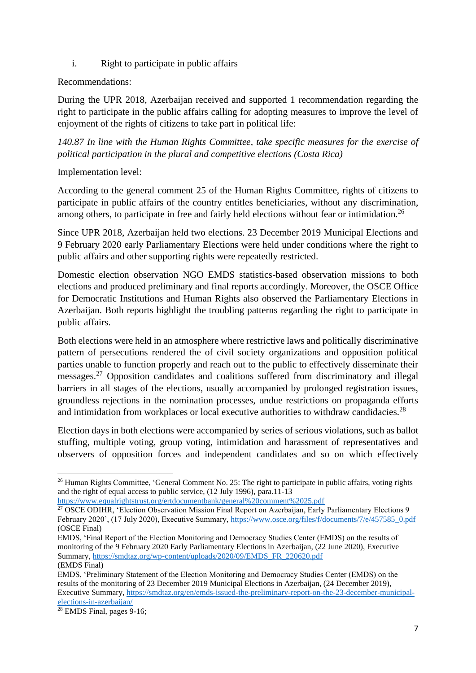i. Right to participate in public affairs

### Recommendations:

During the UPR 2018, Azerbaijan received and supported 1 recommendation regarding the right to participate in the public affairs calling for adopting measures to improve the level of enjoyment of the rights of citizens to take part in political life:

*140.87 In line with the Human Rights Committee, take specific measures for the exercise of political participation in the plural and competitive elections (Costa Rica)*

Implementation level:

According to the general comment 25 of the Human Rights Committee, rights of citizens to participate in public affairs of the country entitles beneficiaries, without any discrimination, among others, to participate in free and fairly held elections without fear or intimidation.<sup>26</sup>

Since UPR 2018, Azerbaijan held two elections. 23 December 2019 Municipal Elections and 9 February 2020 early Parliamentary Elections were held under conditions where the right to public affairs and other supporting rights were repeatedly restricted.

Domestic election observation NGO EMDS statistics-based observation missions to both elections and produced preliminary and final reports accordingly. Moreover, the OSCE Office for Democratic Institutions and Human Rights also observed the Parliamentary Elections in Azerbaijan. Both reports highlight the troubling patterns regarding the right to participate in public affairs.

Both elections were held in an atmosphere where restrictive laws and politically discriminative pattern of persecutions rendered the of civil society organizations and opposition political parties unable to function properly and reach out to the public to effectively disseminate their messages.<sup>27</sup> Opposition candidates and coalitions suffered from discriminatory and illegal barriers in all stages of the elections, usually accompanied by prolonged registration issues, groundless rejections in the nomination processes, undue restrictions on propaganda efforts and intimidation from workplaces or local executive authorities to withdraw candidacies.<sup>28</sup>

Election days in both elections were accompanied by series of serious violations, such as ballot stuffing, multiple voting, group voting, intimidation and harassment of representatives and observers of opposition forces and independent candidates and so on which effectively

<https://www.equalrightstrust.org/ertdocumentbank/general%20comment%2025.pdf>

 $^{26}$  Human Rights Committee, 'General Comment No. 25: The right to participate in public affairs, voting rights and the right of equal access to public service, (12 July 1996), para.11-13

<sup>&</sup>lt;sup>27</sup> OSCE ODIHR, 'Election Observation Mission Final Report on Azerbaijan, Early Parliamentary Elections 9 February 2020', (17 July 2020), Executive Summary, [https://www.osce.org/files/f/documents/7/e/457585\\_0.pdf](https://www.osce.org/files/f/documents/7/e/457585_0.pdf) (OSCE Final)

EMDS, 'Final Report of the Election Monitoring and Democracy Studies Center (EMDS) on the results of monitoring of the 9 February 2020 Early Parliamentary Elections in Azerbaijan, (22 June 2020), Executive Summary, [https://smdtaz.org/wp-content/uploads/2020/09/EMDS\\_FR\\_220620.pdf](https://smdtaz.org/wp-content/uploads/2020/09/EMDS_FR_220620.pdf)

<sup>(</sup>EMDS Final)

EMDS, 'Preliminary Statement of the Election Monitoring and Democracy Studies Center (EMDS) on the results of the monitoring of 23 December 2019 Municipal Elections in Azerbaijan, (24 December 2019), Executive Summary, [https://smdtaz.org/en/emds-issued-the-preliminary-report-on-the-23-december-municipal](https://smdtaz.org/en/emds-issued-the-preliminary-report-on-the-23-december-municipal-elections-in-azerbaijan/)[elections-in-azerbaijan/](https://smdtaz.org/en/emds-issued-the-preliminary-report-on-the-23-december-municipal-elections-in-azerbaijan/)

<sup>28</sup> EMDS Final, pages 9-16;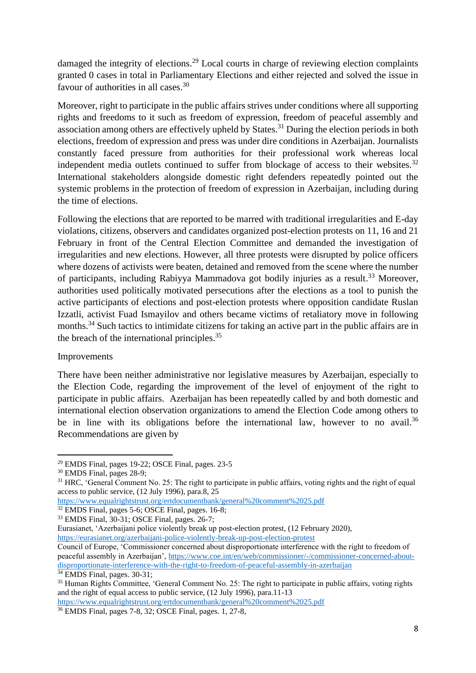damaged the integrity of elections.<sup>29</sup> Local courts in charge of reviewing election complaints granted 0 cases in total in Parliamentary Elections and either rejected and solved the issue in favour of authorities in all cases.<sup>30</sup>

Moreover, right to participate in the public affairs strives under conditions where all supporting rights and freedoms to it such as freedom of expression, freedom of peaceful assembly and association among others are effectively upheld by States.<sup>31</sup> During the election periods in both elections, freedom of expression and press was under dire conditions in Azerbaijan. Journalists constantly faced pressure from authorities for their professional work whereas local independent media outlets continued to suffer from blockage of access to their websites.<sup>32</sup> International stakeholders alongside domestic right defenders repeatedly pointed out the systemic problems in the protection of freedom of expression in Azerbaijan, including during the time of elections.

Following the elections that are reported to be marred with traditional irregularities and E-day violations, citizens, observers and candidates organized post-election protests on 11, 16 and 21 February in front of the Central Election Committee and demanded the investigation of irregularities and new elections. However, all three protests were disrupted by police officers where dozens of activists were beaten, detained and removed from the scene where the number of participants, including Rabiyya Mammadova got bodily injuries as a result.<sup>33</sup> Moreover, authorities used politically motivated persecutions after the elections as a tool to punish the active participants of elections and post-election protests where opposition candidate Ruslan Izzatli, activist Fuad Ismayilov and others became victims of retaliatory move in following months.<sup>34</sup> Such tactics to intimidate citizens for taking an active part in the public affairs are in the breach of the international principles.<sup>35</sup>

#### Improvements

There have been neither administrative nor legislative measures by Azerbaijan, especially to the Election Code, regarding the improvement of the level of enjoyment of the right to participate in public affairs. Azerbaijan has been repeatedly called by and both domestic and international election observation organizations to amend the Election Code among others to be in line with its obligations before the international law, however to no avail.<sup>36</sup> Recommendations are given by

<sup>29</sup> EMDS Final, pages 19-22; OSCE Final, pages. 23-5

<sup>30</sup> EMDS Final, pages 28-9;

<sup>&</sup>lt;sup>31</sup> HRC, 'General Comment No. 25: The right to participate in public affairs, voting rights and the right of equal access to public service, (12 July 1996), para.8, 25

<https://www.equalrightstrust.org/ertdocumentbank/general%20comment%2025.pdf>

<sup>32</sup> EMDS Final, pages 5-6; OSCE Final, pages. 16-8;

<sup>33</sup> EMDS Final, 30-31; OSCE Final, pages. 26-7;

Eurasianet, 'Azerbaijani police violently break up post-election protest, (12 February 2020), <https://eurasianet.org/azerbaijani-police-violently-break-up-post-election-protest>

Council of Europe, 'Commissioner concerned about disproportionate interference with the right to freedom of peaceful assembly in Azerbaijan'[, https://www.coe.int/en/web/commissioner/-/commissioner-concerned-about](https://www.coe.int/en/web/commissioner/-/commissioner-concerned-about-disproportionate-interference-with-the-right-to-freedom-of-peaceful-assembly-in-azerbaijan)[disproportionate-interference-with-the-right-to-freedom-of-peaceful-assembly-in-azerbaijan](https://www.coe.int/en/web/commissioner/-/commissioner-concerned-about-disproportionate-interference-with-the-right-to-freedom-of-peaceful-assembly-in-azerbaijan)  $\frac{1}{34}$  EMDS Final, pages. 30-31;

<sup>&</sup>lt;sup>35</sup> Human Rights Committee, 'General Comment No. 25: The right to participate in public affairs, voting rights and the right of equal access to public service, (12 July 1996), para.11-13

<https://www.equalrightstrust.org/ertdocumentbank/general%20comment%2025.pdf>

<sup>36</sup> EMDS Final, pages 7-8, 32; OSCE Final, pages. 1, 27-8,